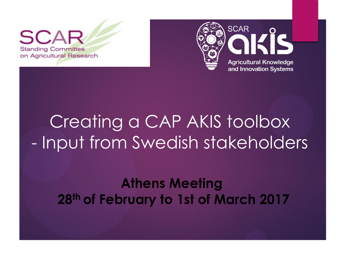$\mathbf{S}$ **Standing Committee** on Agricultural Research



# Creating a CAP AKIS toolbox - Input from Swedish stakeholders

#### **Athens Meeting 28th of February to 1st of March 2017**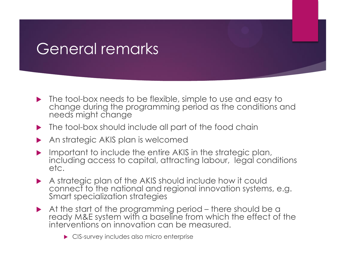## General remarks

- The tool-box needs to be flexible, simple to use and easy to change during the programming period as the conditions and needs might change
- The tool-box should include all part of the food chain
- An strategic AKIS plan is welcomed
- Important to include the entire AKIS in the strategic plan, including access to capital, attracting labour, legal conditions etc.
- A strategic plan of the AKIS should include how it could connect to the national and regional innovation systems, e.g. Smart specialization strategies
- At the start of the programming period there should be a ready M&E system with a baseline from which the effect of the interventions on innovation can be measured.
	- ▶ CIS-survey includes also micro enterprise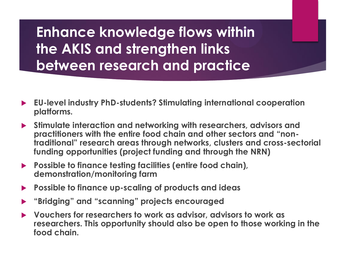**Enhance knowledge flows within the AKIS and strengthen links between research and practice**

- **EU-level industry PhD-students? Stimulating international cooperation platforms.**
- **Stimulate interaction and networking with researchers, advisors and practitioners with the entire food chain and other sectors and "nontraditional" research areas through networks, clusters and cross-sectorial funding opportunities (project funding and through the NRN)**
- **Possible to finance testing facilities (entire food chain), demonstration/monitoring farm**
- **Possible to finance up-scaling of products and ideas**
- **"Bridging" and "scanning" projects encouraged**
- **Vouchers for researchers to work as advisor, advisors to work as researchers. This opportunity should also be open to those working in the food chain.**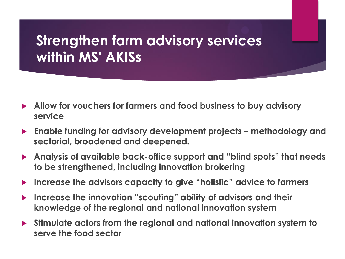### **Strengthen farm advisory services within MS' AKISs**

- **Allow for vouchers for farmers and food business to buy advisory service**
- **Enable funding for advisory development projects – methodology and sectorial, broadened and deepened.**
- **Analysis of available back-office support and "blind spots" that needs to be strengthened, including innovation brokering**
- **Increase the advisors capacity to give "holistic" advice to farmers**
- **Increase the innovation "scouting" ability of advisors and their knowledge of the regional and national innovation system**
- **Stimulate actors from the regional and national innovation system to serve the food sector**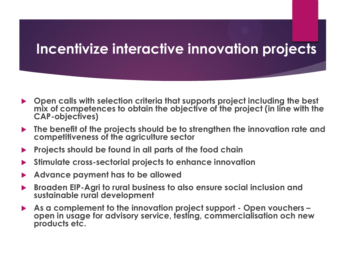#### **Incentivize interactive innovation projects**

- **Open calls with selection criteria that supports project including the best mix of competences to obtain the objective of the project (in line with the CAP-objectives)**
- **The benefit of the projects should be to strengthen the innovation rate and competitiveness of the agriculture sector**
- **Projects should be found in all parts of the food chain**
- **Stimulate cross-sectorial projects to enhance innovation**
- **Advance payment has to be allowed**
- **Broaden EIP-Agri to rural business to also ensure social inclusion and sustainable rural development**
- **As a complement to the innovation project support - Open vouchers – open in usage for advisory service, testing, commercialisation och new products etc.**